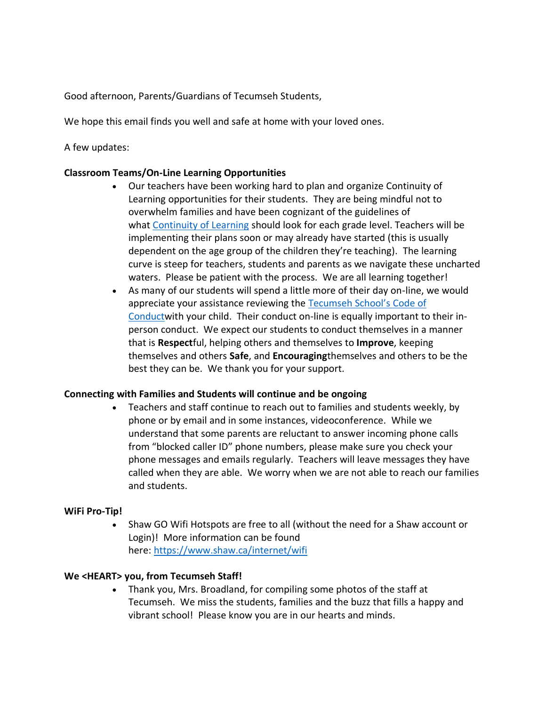Good afternoon, Parents/Guardians of Tecumseh Students,

We hope this email finds you well and safe at home with your loved ones.

A few updates:

## **Classroom Teams/On-Line Learning Opportunities**

- Our teachers have been working hard to plan and organize Continuity of Learning opportunities for their students. They are being mindful not to overwhelm families and have been cognizant of the guidelines of what [Continuity of Learning](https://www.vsb.bc.ca/Student_Learning/Continuity_of_Learning/Pages/default.aspx) should look for each grade level. Teachers will be implementing their plans soon or may already have started (this is usually dependent on the age group of the children they're teaching). The learning curve is steep for teachers, students and parents as we navigate these uncharted waters. Please be patient with the process. We are all learning together!
- As many of our students will spend a little more of their day on-line, we would appreciate your assistance reviewing the [Tecumseh School's Code of](https://www.vsb.bc.ca/schools/tecumseh/About-Us/Publications/Documents/Tecumseh%20Code%20of%20Conduct%20March%202018.pdf)  [Conductw](https://www.vsb.bc.ca/schools/tecumseh/About-Us/Publications/Documents/Tecumseh%20Code%20of%20Conduct%20March%202018.pdf)ith your child. Their conduct on-line is equally important to their inperson conduct. We expect our students to conduct themselves in a manner that is **Respect**ful, helping others and themselves to **Improve**, keeping themselves and others **Safe**, and **Encouraging**themselves and others to be the best they can be. We thank you for your support.

## **Connecting with Families and Students will continue and be ongoing**

• Teachers and staff continue to reach out to families and students weekly, by phone or by email and in some instances, videoconference. While we understand that some parents are reluctant to answer incoming phone calls from "blocked caller ID" phone numbers, please make sure you check your phone messages and emails regularly. Teachers will leave messages they have called when they are able. We worry when we are not able to reach our families and students.

## **WiFi Pro-Tip!**

• Shaw GO Wifi Hotspots are free to all (without the need for a Shaw account or Login)! More information can be found here: <https://www.shaw.ca/internet/wifi>

## **We <HEART> you, from Tecumseh Staff!**

• Thank you, Mrs. Broadland, for compiling some photos of the staff at Tecumseh. We miss the students, families and the buzz that fills a happy and vibrant school! Please know you are in our hearts and minds.